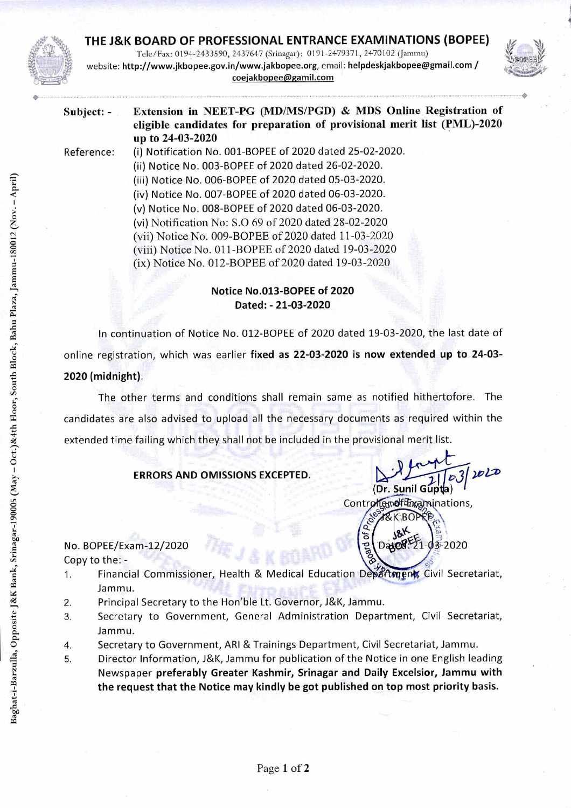## **THE J&K BOARD OF PROFESSIONAL ENTRANCE EXAMINATIONS (BOPEE)**

Tele/Fax: 0194-2433590, 2437647 (Srinagar): 0191-2479371, 2470102 (Jammu) website: http://www.jkbopee.gov.in/www.jakbopee.org, email: helpdeskjakbopee@gmail.com/ coejakbopee@gamil.com



## **Subject: - Extension in NEET-PG (MD/MS/PGD) & MDS Online Registration of eligible candidates for preparation of provisional merit list (PML)-2020 up to 24-03-2020**

Reference: (i) Notification No. 001-BOPEE of 2020 dated 25-02-2020. (ii) Notice No. 003-BOPEE of 2020 dated 26-02-2020. (iii) Notice No. 006-BOPEE of 2020 dated 05-03-2020. (iv) Notice No. 007-BOPEE of 2020 dated 06-03-2020. (v) Notice No. 008-BOPEE of 2020 dated 06-03-2020. (vi) Notification No: S.0 69 of 2020 dated 28-02-2020 (vii) Notice No. 009-BOPEE of 2020 dated 11-03-2020 (viii) Notice No. 011-BOPEE of 2020 dated 19-03-2020

(ix) Notice No. 012-BOPEE of 2020 dated 19-03-2020

**Notice No.013-BOPEE of 2020 Dated: - 21-03-2020** 

In continuation of Notice No. 012-BOPEE of 2020 dated 19-03-2020, the last date of online registration, which was earlier **fixed as 22-03-2020 is now extended up to 24-03- 2020 (midnight).** 

The other terms and conditions shall remain same as notified hithertofore. The candidates are also advised to upload all the necessary documents as required within the extended time failing which they shall not be included in the provisional merit list.

**ERRORS AND OMISSIONS EXCEPTED.** 

**2-1 1753/2020**<br>(Dr. Sunil Gupta)

•

Control and Examinations, c• K:BOP

## No. BOPEE/Exam-12/2020

Copy to the: -

- 1. Financial Commissioner, Health & Medical Education Departments Civil Secretariat, Jammu.
- 2. Principal Secretary to the Hon'ble Lt. Governor, J&K, Jammu.
- 3. Secretary to Government, General Administration Department, Civil Secretariat, Jammu.
- 4. Secretary to Government, ARI & Trainings Department, Civil Secretariat, Jammu.
- 5. Director Information, J&K, Jammu for publication of the Notice in one English leading Newspaper **preferably Greater Kashmir, Srinagar and Daily Excelsior, Jammu with the request that the Notice may kindly be got published on top most priority basis.**